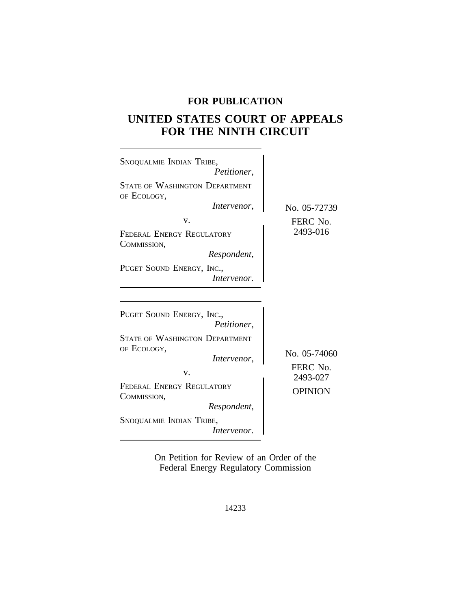## **FOR PUBLICATION**

# **UNITED STATES COURT OF APPEALS FOR THE NINTH CIRCUIT**

| SNOQUALMIE INDIAN TRIBE,<br>Petitioner,              |                |
|------------------------------------------------------|----------------|
|                                                      |                |
| <b>STATE OF WASHINGTON DEPARTMENT</b><br>OF ECOLOGY, |                |
|                                                      |                |
| Intervenor,                                          | No. 05-72739   |
| V.                                                   | FERC No.       |
| FEDERAL ENERGY REGULATORY                            | 2493-016       |
| COMMISSION,                                          |                |
| Respondent,                                          |                |
| PUGET SOUND ENERGY, INC.,                            |                |
| Intervenor.                                          |                |
|                                                      |                |
|                                                      |                |
|                                                      |                |
| PUGET SOUND ENERGY, INC.,                            |                |
|                                                      |                |
| Petitioner,                                          |                |
| <b>STATE OF WASHINGTON DEPARTMENT</b>                |                |
| OF ECOLOGY,                                          |                |
|                                                      | No. 05-74060   |
| Intervenor,                                          | FERC No.       |
| V.                                                   | 2493-027       |
| FEDERAL ENERGY REGULATORY                            |                |
| COMMISSION,                                          | <b>OPINION</b> |
| Respondent,                                          |                |
|                                                      |                |
| SNOQUALMIE INDIAN TRIBE,                             |                |
| Intervenor.                                          |                |
|                                                      |                |

On Petition for Review of an Order of the Federal Energy Regulatory Commission

14233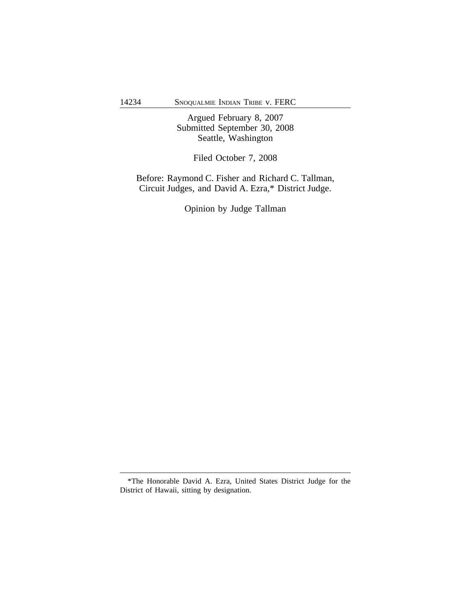Argued February 8, 2007 Submitted September 30, 2008 Seattle, Washington

Filed October 7, 2008

Before: Raymond C. Fisher and Richard C. Tallman, Circuit Judges, and David A. Ezra,\* District Judge.

Opinion by Judge Tallman

<sup>\*</sup>The Honorable David A. Ezra, United States District Judge for the District of Hawaii, sitting by designation.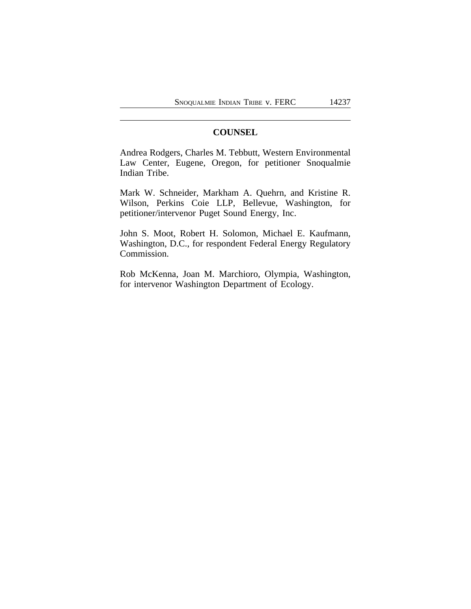## **COUNSEL**

Andrea Rodgers, Charles M. Tebbutt, Western Environmental Law Center, Eugene, Oregon, for petitioner Snoqualmie Indian Tribe.

Mark W. Schneider, Markham A. Quehrn, and Kristine R. Wilson, Perkins Coie LLP, Bellevue, Washington, for petitioner/intervenor Puget Sound Energy, Inc.

John S. Moot, Robert H. Solomon, Michael E. Kaufmann, Washington, D.C., for respondent Federal Energy Regulatory Commission.

Rob McKenna, Joan M. Marchioro, Olympia, Washington, for intervenor Washington Department of Ecology.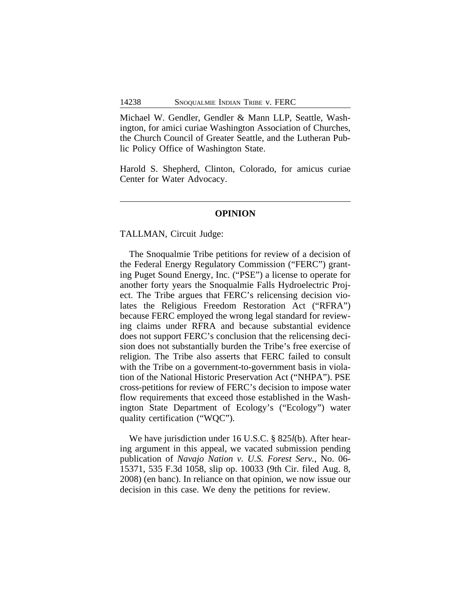Michael W. Gendler, Gendler & Mann LLP, Seattle, Washington, for amici curiae Washington Association of Churches, the Church Council of Greater Seattle, and the Lutheran Public Policy Office of Washington State.

Harold S. Shepherd, Clinton, Colorado, for amicus curiae Center for Water Advocacy.

#### **OPINION**

TALLMAN, Circuit Judge:

The Snoqualmie Tribe petitions for review of a decision of the Federal Energy Regulatory Commission ("FERC") granting Puget Sound Energy, Inc. ("PSE") a license to operate for another forty years the Snoqualmie Falls Hydroelectric Project. The Tribe argues that FERC's relicensing decision violates the Religious Freedom Restoration Act ("RFRA") because FERC employed the wrong legal standard for reviewing claims under RFRA and because substantial evidence does not support FERC's conclusion that the relicensing decision does not substantially burden the Tribe's free exercise of religion. The Tribe also asserts that FERC failed to consult with the Tribe on a government-to-government basis in violation of the National Historic Preservation Act ("NHPA"). PSE cross-petitions for review of FERC's decision to impose water flow requirements that exceed those established in the Washington State Department of Ecology's ("Ecology") water quality certification ("WQC").

We have jurisdiction under 16 U.S.C. § 825*l*(b). After hearing argument in this appeal, we vacated submission pending publication of *Navajo Nation v. U.S. Forest Serv.*, No. 06- 15371, 535 F.3d 1058, slip op. 10033 (9th Cir. filed Aug. 8, 2008) (en banc). In reliance on that opinion, we now issue our decision in this case. We deny the petitions for review.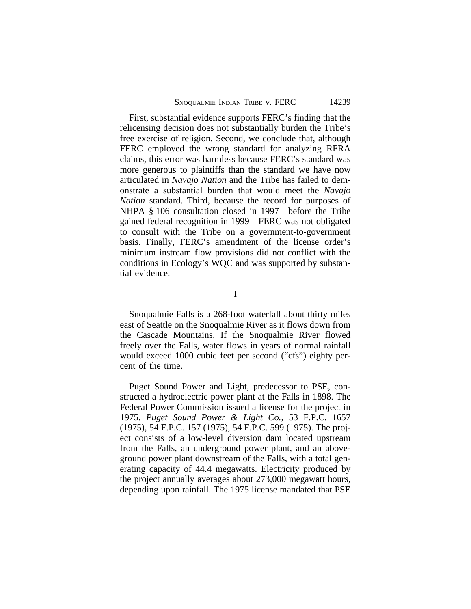First, substantial evidence supports FERC's finding that the relicensing decision does not substantially burden the Tribe's free exercise of religion. Second, we conclude that, although FERC employed the wrong standard for analyzing RFRA claims, this error was harmless because FERC's standard was more generous to plaintiffs than the standard we have now articulated in *Navajo Nation* and the Tribe has failed to demonstrate a substantial burden that would meet the *Navajo Nation* standard. Third, because the record for purposes of NHPA § 106 consultation closed in 1997—before the Tribe gained federal recognition in 1999—FERC was not obligated to consult with the Tribe on a government-to-government basis. Finally, FERC's amendment of the license order's minimum instream flow provisions did not conflict with the conditions in Ecology's WQC and was supported by substantial evidence.

I

Snoqualmie Falls is a 268-foot waterfall about thirty miles east of Seattle on the Snoqualmie River as it flows down from the Cascade Mountains. If the Snoqualmie River flowed freely over the Falls, water flows in years of normal rainfall would exceed 1000 cubic feet per second ("cfs") eighty percent of the time.

Puget Sound Power and Light, predecessor to PSE, constructed a hydroelectric power plant at the Falls in 1898. The Federal Power Commission issued a license for the project in 1975. *Puget Sound Power & Light Co.*, 53 F.P.C. 1657 (1975), 54 F.P.C. 157 (1975), 54 F.P.C. 599 (1975). The project consists of a low-level diversion dam located upstream from the Falls, an underground power plant, and an aboveground power plant downstream of the Falls, with a total generating capacity of 44.4 megawatts. Electricity produced by the project annually averages about 273,000 megawatt hours, depending upon rainfall. The 1975 license mandated that PSE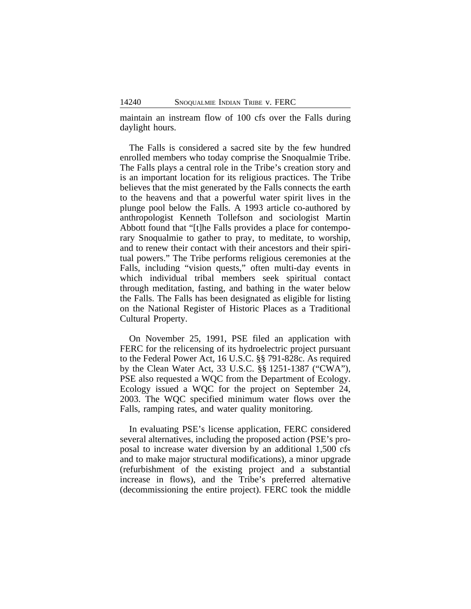maintain an instream flow of 100 cfs over the Falls during daylight hours.

The Falls is considered a sacred site by the few hundred enrolled members who today comprise the Snoqualmie Tribe. The Falls plays a central role in the Tribe's creation story and is an important location for its religious practices. The Tribe believes that the mist generated by the Falls connects the earth to the heavens and that a powerful water spirit lives in the plunge pool below the Falls. A 1993 article co-authored by anthropologist Kenneth Tollefson and sociologist Martin Abbott found that "[t]he Falls provides a place for contemporary Snoqualmie to gather to pray, to meditate, to worship, and to renew their contact with their ancestors and their spiritual powers." The Tribe performs religious ceremonies at the Falls, including "vision quests," often multi-day events in which individual tribal members seek spiritual contact through meditation, fasting, and bathing in the water below the Falls. The Falls has been designated as eligible for listing on the National Register of Historic Places as a Traditional Cultural Property.

On November 25, 1991, PSE filed an application with FERC for the relicensing of its hydroelectric project pursuant to the Federal Power Act, 16 U.S.C. §§ 791-828c. As required by the Clean Water Act, 33 U.S.C. §§ 1251-1387 ("CWA"), PSE also requested a WQC from the Department of Ecology. Ecology issued a WQC for the project on September 24, 2003. The WQC specified minimum water flows over the Falls, ramping rates, and water quality monitoring.

In evaluating PSE's license application, FERC considered several alternatives, including the proposed action (PSE's proposal to increase water diversion by an additional 1,500 cfs and to make major structural modifications), a minor upgrade (refurbishment of the existing project and a substantial increase in flows), and the Tribe's preferred alternative (decommissioning the entire project). FERC took the middle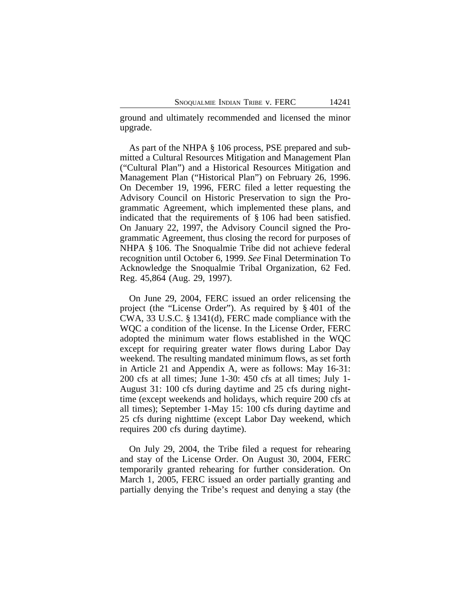ground and ultimately recommended and licensed the minor upgrade.

As part of the NHPA § 106 process, PSE prepared and submitted a Cultural Resources Mitigation and Management Plan ("Cultural Plan") and a Historical Resources Mitigation and Management Plan ("Historical Plan") on February 26, 1996. On December 19, 1996, FERC filed a letter requesting the Advisory Council on Historic Preservation to sign the Programmatic Agreement, which implemented these plans, and indicated that the requirements of § 106 had been satisfied. On January 22, 1997, the Advisory Council signed the Programmatic Agreement, thus closing the record for purposes of NHPA § 106. The Snoqualmie Tribe did not achieve federal recognition until October 6, 1999. *See* Final Determination To Acknowledge the Snoqualmie Tribal Organization, 62 Fed. Reg. 45,864 (Aug. 29, 1997).

On June 29, 2004, FERC issued an order relicensing the project (the "License Order"). As required by § 401 of the CWA, 33 U.S.C. § 1341(d), FERC made compliance with the WQC a condition of the license. In the License Order, FERC adopted the minimum water flows established in the WQC except for requiring greater water flows during Labor Day weekend. The resulting mandated minimum flows, as set forth in Article 21 and Appendix A, were as follows: May 16-31: 200 cfs at all times; June 1-30: 450 cfs at all times; July 1- August 31: 100 cfs during daytime and 25 cfs during nighttime (except weekends and holidays, which require 200 cfs at all times); September 1-May 15: 100 cfs during daytime and 25 cfs during nighttime (except Labor Day weekend, which requires 200 cfs during daytime).

On July 29, 2004, the Tribe filed a request for rehearing and stay of the License Order. On August 30, 2004, FERC temporarily granted rehearing for further consideration. On March 1, 2005, FERC issued an order partially granting and partially denying the Tribe's request and denying a stay (the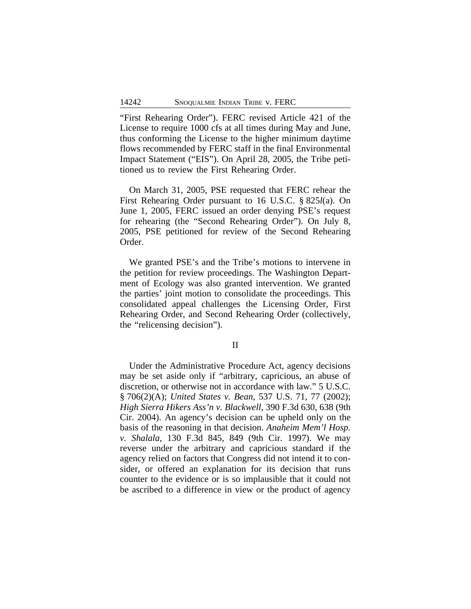"First Rehearing Order"). FERC revised Article 421 of the License to require 1000 cfs at all times during May and June, thus conforming the License to the higher minimum daytime flows recommended by FERC staff in the final Environmental Impact Statement ("EIS"). On April 28, 2005, the Tribe petitioned us to review the First Rehearing Order.

On March 31, 2005, PSE requested that FERC rehear the First Rehearing Order pursuant to 16 U.S.C. § 825*l*(a). On June 1, 2005, FERC issued an order denying PSE's request for rehearing (the "Second Rehearing Order"). On July 8, 2005, PSE petitioned for review of the Second Rehearing Order.

We granted PSE's and the Tribe's motions to intervene in the petition for review proceedings. The Washington Department of Ecology was also granted intervention. We granted the parties' joint motion to consolidate the proceedings. This consolidated appeal challenges the Licensing Order, First Rehearing Order, and Second Rehearing Order (collectively, the "relicensing decision").

#### II

Under the Administrative Procedure Act, agency decisions may be set aside only if "arbitrary, capricious, an abuse of discretion, or otherwise not in accordance with law." 5 U.S.C. § 706(2)(A); *United States v. Bean*, 537 U.S. 71, 77 (2002); *High Sierra Hikers Ass'n v. Blackwell*, 390 F.3d 630, 638 (9th Cir. 2004). An agency's decision can be upheld only on the basis of the reasoning in that decision. *Anaheim Mem'l Hosp. v. Shalala*, 130 F.3d 845, 849 (9th Cir. 1997). We may reverse under the arbitrary and capricious standard if the agency relied on factors that Congress did not intend it to consider, or offered an explanation for its decision that runs counter to the evidence or is so implausible that it could not be ascribed to a difference in view or the product of agency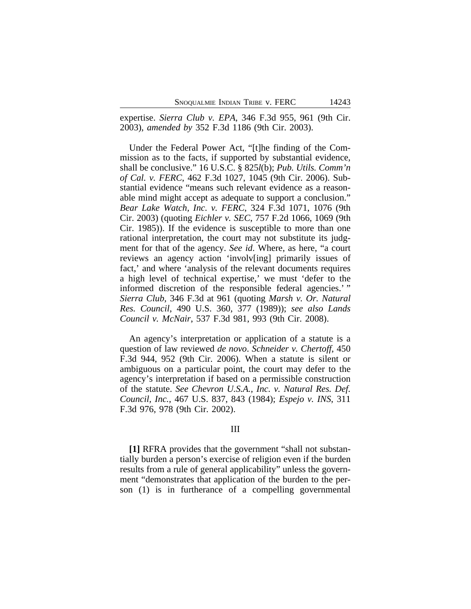expertise. *Sierra Club v. EPA*, 346 F.3d 955, 961 (9th Cir. 2003), *amended by* 352 F.3d 1186 (9th Cir. 2003).

Under the Federal Power Act, "[t]he finding of the Commission as to the facts, if supported by substantial evidence, shall be conclusive." 16 U.S.C. § 825*l*(b); *Pub. Utils. Comm'n of Cal. v. FERC*, 462 F.3d 1027, 1045 (9th Cir. 2006). Substantial evidence "means such relevant evidence as a reasonable mind might accept as adequate to support a conclusion." *Bear Lake Watch, Inc. v. FERC*, 324 F.3d 1071, 1076 (9th Cir. 2003) (quoting *Eichler v. SEC*, 757 F.2d 1066, 1069 (9th Cir. 1985)). If the evidence is susceptible to more than one rational interpretation, the court may not substitute its judgment for that of the agency. *See id*. Where, as here, "a court reviews an agency action 'involv[ing] primarily issues of fact,' and where 'analysis of the relevant documents requires a high level of technical expertise,' we must 'defer to the informed discretion of the responsible federal agencies.'" *Sierra Club*, 346 F.3d at 961 (quoting *Marsh v. Or. Natural Res. Council*, 490 U.S. 360, 377 (1989)); *see also Lands Council v. McNair*, 537 F.3d 981, 993 (9th Cir. 2008).

An agency's interpretation or application of a statute is a question of law reviewed *de novo*. *Schneider v. Chertoff*, 450 F.3d 944, 952 (9th Cir. 2006). When a statute is silent or ambiguous on a particular point, the court may defer to the agency's interpretation if based on a permissible construction of the statute. *See Chevron U.S.A., Inc. v. Natural Res. Def. Council, Inc.*, 467 U.S. 837, 843 (1984); *Espejo v. INS*, 311 F.3d 976, 978 (9th Cir. 2002).

#### III

**[1]** RFRA provides that the government "shall not substantially burden a person's exercise of religion even if the burden results from a rule of general applicability" unless the government "demonstrates that application of the burden to the person (1) is in furtherance of a compelling governmental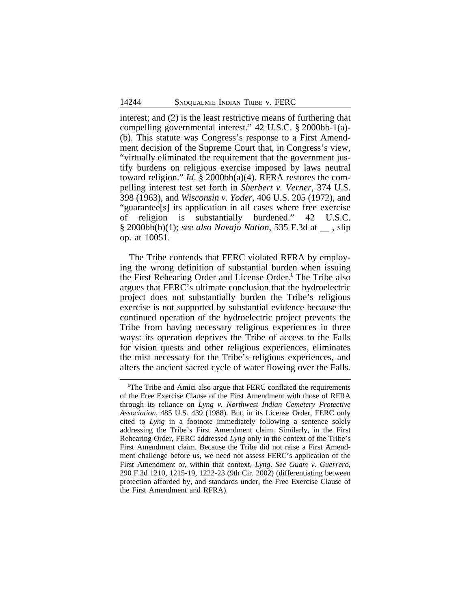interest; and (2) is the least restrictive means of furthering that compelling governmental interest." 42 U.S.C. § 2000bb-1(a)- (b). This statute was Congress's response to a First Amendment decision of the Supreme Court that, in Congress's view, "virtually eliminated the requirement that the government justify burdens on religious exercise imposed by laws neutral toward religion." *Id*. § 2000bb(a)(4). RFRA restores the compelling interest test set forth in *Sherbert v. Verner*, 374 U.S. 398 (1963), and *Wisconsin v. Yoder*, 406 U.S. 205 (1972), and "guarantee[s] its application in all cases where free exercise of religion is substantially burdened." 42 U.S.C. § 2000bb(b)(1); *see also Navajo Nation*, 535 F.3d at \_\_ , slip op. at 10051.

The Tribe contends that FERC violated RFRA by employing the wrong definition of substantial burden when issuing the First Rehearing Order and License Order.**<sup>1</sup>** The Tribe also argues that FERC's ultimate conclusion that the hydroelectric project does not substantially burden the Tribe's religious exercise is not supported by substantial evidence because the continued operation of the hydroelectric project prevents the Tribe from having necessary religious experiences in three ways: its operation deprives the Tribe of access to the Falls for vision quests and other religious experiences, eliminates the mist necessary for the Tribe's religious experiences, and alters the ancient sacred cycle of water flowing over the Falls.

**<sup>1</sup>**The Tribe and Amici also argue that FERC conflated the requirements of the Free Exercise Clause of the First Amendment with those of RFRA through its reliance on *Lyng v. Northwest Indian Cemetery Protective Association*, 485 U.S. 439 (1988). But, in its License Order, FERC only cited to *Lyng* in a footnote immediately following a sentence solely addressing the Tribe's First Amendment claim. Similarly, in the First Rehearing Order, FERC addressed *Lyng* only in the context of the Tribe's First Amendment claim. Because the Tribe did not raise a First Amendment challenge before us, we need not assess FERC's application of the First Amendment or, within that context, *Lyng*. *See Guam v. Guerrero*, 290 F.3d 1210, 1215-19, 1222-23 (9th Cir. 2002) (differentiating between protection afforded by, and standards under, the Free Exercise Clause of the First Amendment and RFRA).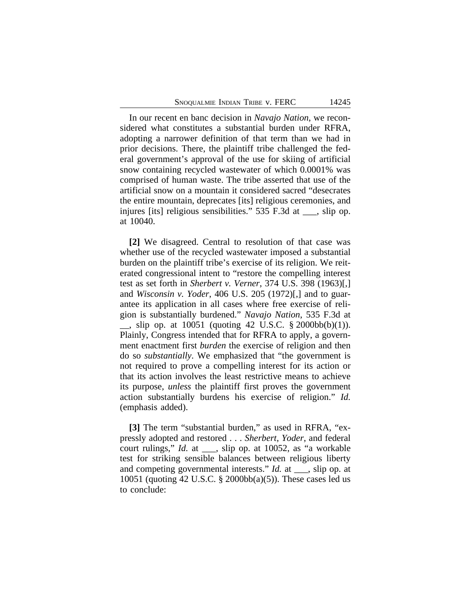In our recent en banc decision in *Navajo Nation*, we reconsidered what constitutes a substantial burden under RFRA, adopting a narrower definition of that term than we had in prior decisions. There, the plaintiff tribe challenged the federal government's approval of the use for skiing of artificial snow containing recycled wastewater of which 0.0001% was comprised of human waste. The tribe asserted that use of the artificial snow on a mountain it considered sacred "desecrates the entire mountain, deprecates [its] religious ceremonies, and injures [its] religious sensibilities." 535 F.3d at \_\_\_, slip op. at 10040.

**[2]** We disagreed. Central to resolution of that case was whether use of the recycled wastewater imposed a substantial burden on the plaintiff tribe's exercise of its religion. We reiterated congressional intent to "restore the compelling interest test as set forth in *Sherbert v. Verner*, 374 U.S. 398 (1963)[,] and *Wisconsin v. Yoder*, 406 U.S. 205 (1972)[,] and to guarantee its application in all cases where free exercise of religion is substantially burdened." *Navajo Nation*, 535 F.3d at  $\_\_$ , slip op. at 10051 (quoting 42 U.S.C. § 2000bb(b)(1)). Plainly, Congress intended that for RFRA to apply, a government enactment first *burden* the exercise of religion and then do so *substantially*. We emphasized that "the government is not required to prove a compelling interest for its action or that its action involves the least restrictive means to achieve its purpose, *unless* the plaintiff first proves the government action substantially burdens his exercise of religion." *Id.* (emphasis added).

**[3]** The term "substantial burden," as used in RFRA, "expressly adopted and restored . . . *Sherbert*, *Yoder*, and federal court rulings," *Id.* at \_\_\_, slip op. at 10052, as "a workable test for striking sensible balances between religious liberty and competing governmental interests." *Id.* at \_\_\_, slip op. at 10051 (quoting 42 U.S.C. § 2000bb(a)(5)). These cases led us to conclude: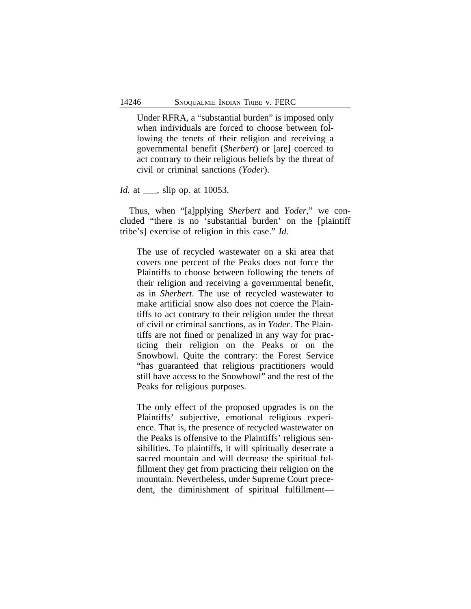Under RFRA, a "substantial burden" is imposed only when individuals are forced to choose between following the tenets of their religion and receiving a governmental benefit (*Sherbert*) or [are] coerced to act contrary to their religious beliefs by the threat of civil or criminal sanctions (*Yoder*).

*Id.* at \_\_\_, slip op. at 10053.

Thus, when "[a]pplying *Sherbert* and *Yoder*," we concluded "there is no 'substantial burden' on the [plaintiff tribe's] exercise of religion in this case." *Id.*

The use of recycled wastewater on a ski area that covers one percent of the Peaks does not force the Plaintiffs to choose between following the tenets of their religion and receiving a governmental benefit, as in *Sherbert*. The use of recycled wastewater to make artificial snow also does not coerce the Plaintiffs to act contrary to their religion under the threat of civil or criminal sanctions, as in *Yoder*. The Plaintiffs are not fined or penalized in any way for practicing their religion on the Peaks or on the Snowbowl. Quite the contrary: the Forest Service "has guaranteed that religious practitioners would still have access to the Snowbowl" and the rest of the Peaks for religious purposes.

The only effect of the proposed upgrades is on the Plaintiffs' subjective, emotional religious experience. That is, the presence of recycled wastewater on the Peaks is offensive to the Plaintiffs' religious sensibilities. To plaintiffs, it will spiritually desecrate a sacred mountain and will decrease the spiritual fulfillment they get from practicing their religion on the mountain. Nevertheless, under Supreme Court precedent, the diminishment of spiritual fulfillment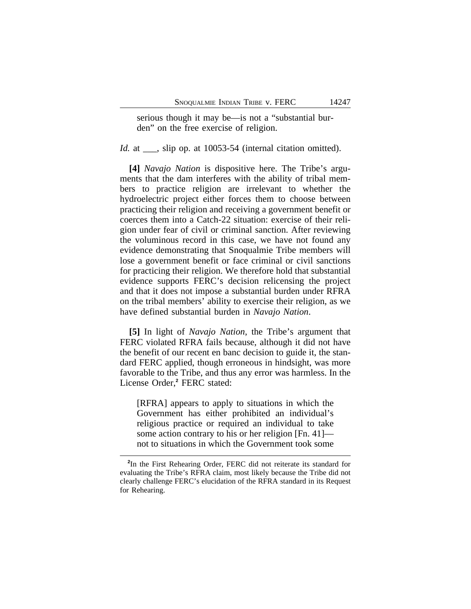serious though it may be—is not a "substantial burden" on the free exercise of religion.

*Id.* at \_\_\_, slip op. at 10053-54 (internal citation omitted).

**[4]** *Navajo Nation* is dispositive here. The Tribe's arguments that the dam interferes with the ability of tribal members to practice religion are irrelevant to whether the hydroelectric project either forces them to choose between practicing their religion and receiving a government benefit or coerces them into a Catch-22 situation: exercise of their religion under fear of civil or criminal sanction. After reviewing the voluminous record in this case, we have not found any evidence demonstrating that Snoqualmie Tribe members will lose a government benefit or face criminal or civil sanctions for practicing their religion. We therefore hold that substantial evidence supports FERC's decision relicensing the project and that it does not impose a substantial burden under RFRA on the tribal members' ability to exercise their religion, as we have defined substantial burden in *Navajo Nation*.

**[5]** In light of *Navajo Nation*, the Tribe's argument that FERC violated RFRA fails because, although it did not have the benefit of our recent en banc decision to guide it, the standard FERC applied, though erroneous in hindsight, was more favorable to the Tribe, and thus any error was harmless. In the License Order,<sup>2</sup> FERC stated:

[RFRA] appears to apply to situations in which the Government has either prohibited an individual's religious practice or required an individual to take some action contrary to his or her religion [Fn. 41] not to situations in which the Government took some

**<sup>2</sup>** In the First Rehearing Order, FERC did not reiterate its standard for evaluating the Tribe's RFRA claim, most likely because the Tribe did not clearly challenge FERC's elucidation of the RFRA standard in its Request for Rehearing.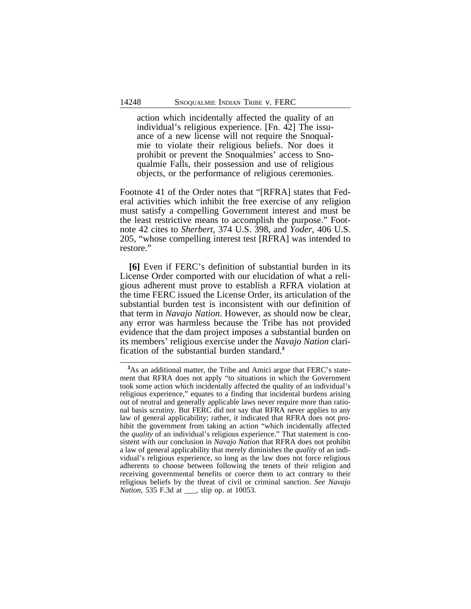action which incidentally affected the quality of an individual's religious experience. [Fn. 42] The issuance of a new license will not require the Snoqualmie to violate their religious beliefs. Nor does it prohibit or prevent the Snoqualmies' access to Snoqualmie Falls, their possession and use of religious objects, or the performance of religious ceremonies.

Footnote 41 of the Order notes that "[RFRA] states that Federal activities which inhibit the free exercise of any religion must satisfy a compelling Government interest and must be the least restrictive means to accomplish the purpose." Footnote 42 cites to *Sherbert*, 374 U.S. 398, and *Yoder*, 406 U.S. 205, "whose compelling interest test [RFRA] was intended to restore."

**[6]** Even if FERC's definition of substantial burden in its License Order comported with our elucidation of what a religious adherent must prove to establish a RFRA violation at the time FERC issued the License Order, its articulation of the substantial burden test is inconsistent with our definition of that term in *Navajo Nation*. However, as should now be clear, any error was harmless because the Tribe has not provided evidence that the dam project imposes a substantial burden on its members' religious exercise under the *Navajo Nation* clarification of the substantial burden standard.**<sup>3</sup>**

**<sup>3</sup>**As an additional matter, the Tribe and Amici argue that FERC's statement that RFRA does not apply "to situations in which the Government took some action which incidentally affected the quality of an individual's religious experience," equates to a finding that incidental burdens arising out of neutral and generally applicable laws never require more than rational basis scrutiny. But FERC did not say that RFRA never applies to any law of general applicability; rather, it indicated that RFRA does not prohibit the government from taking an action "which incidentally affected the *quality* of an individual's religious experience." That statement is consistent with our conclusion in *Navajo Nation* that RFRA does not prohibit a law of general applicability that merely diminishes the *quality* of an individual's religious experience, so long as the law does not force religious adherents to choose between following the tenets of their religion and receiving governmental benefits or coerce them to act contrary to their religious beliefs by the threat of civil or criminal sanction. *See Navajo Nation*, 535 F.3d at \_\_\_, slip op. at 10053.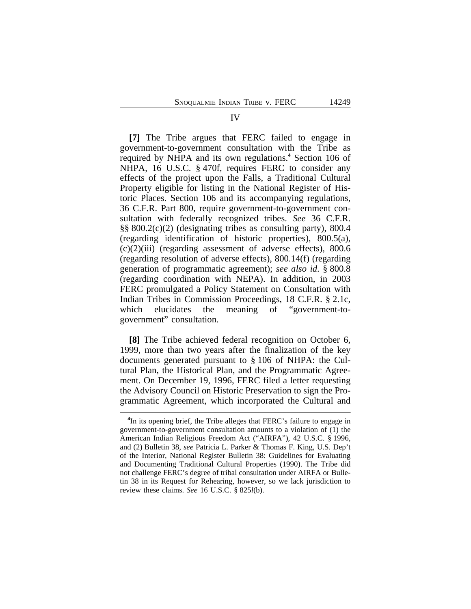**[7]** The Tribe argues that FERC failed to engage in government-to-government consultation with the Tribe as required by NHPA and its own regulations.**<sup>4</sup>** Section 106 of NHPA, 16 U.S.C. § 470f, requires FERC to consider any effects of the project upon the Falls, a Traditional Cultural Property eligible for listing in the National Register of Historic Places. Section 106 and its accompanying regulations, 36 C.F.R. Part 800, require government-to-government consultation with federally recognized tribes. *See* 36 C.F.R. §§ 800.2(c)(2) (designating tribes as consulting party), 800.4 (regarding identification of historic properties), 800.5(a), (c)(2)(iii) (regarding assessment of adverse effects), 800.6 (regarding resolution of adverse effects), 800.14(f) (regarding generation of programmatic agreement); *see also id*. § 800.8 (regarding coordination with NEPA). In addition, in 2003 FERC promulgated a Policy Statement on Consultation with Indian Tribes in Commission Proceedings, 18 C.F.R. § 2.1c, which elucidates the meaning of "government-togovernment" consultation.

**[8]** The Tribe achieved federal recognition on October 6, 1999, more than two years after the finalization of the key documents generated pursuant to § 106 of NHPA: the Cultural Plan, the Historical Plan, and the Programmatic Agreement. On December 19, 1996, FERC filed a letter requesting the Advisory Council on Historic Preservation to sign the Programmatic Agreement, which incorporated the Cultural and

**<sup>4</sup>** In its opening brief, the Tribe alleges that FERC's failure to engage in government-to-government consultation amounts to a violation of (1) the American Indian Religious Freedom Act ("AIRFA"), 42 U.S.C. § 1996, and (2) Bulletin 38, *see* Patricia L. Parker & Thomas F. King, U.S. Dep't of the Interior, National Register Bulletin 38: Guidelines for Evaluating and Documenting Traditional Cultural Properties (1990). The Tribe did not challenge FERC's degree of tribal consultation under AIRFA or Bulletin 38 in its Request for Rehearing, however, so we lack jurisdiction to review these claims. *See* 16 U.S.C. § 825*l*(b).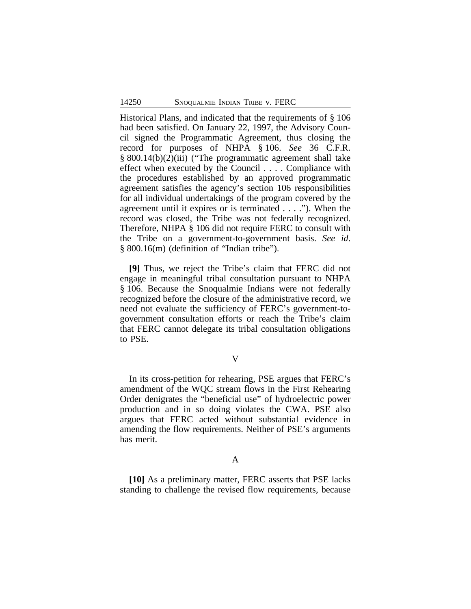Historical Plans, and indicated that the requirements of § 106 had been satisfied. On January 22, 1997, the Advisory Council signed the Programmatic Agreement, thus closing the record for purposes of NHPA § 106. *See* 36 C.F.R. § 800.14(b)(2)(iii) ("The programmatic agreement shall take effect when executed by the Council . . . . Compliance with the procedures established by an approved programmatic agreement satisfies the agency's section 106 responsibilities for all individual undertakings of the program covered by the agreement until it expires or is terminated . . . ."). When the record was closed, the Tribe was not federally recognized. Therefore, NHPA § 106 did not require FERC to consult with the Tribe on a government-to-government basis. *See id*. § 800.16(m) (definition of "Indian tribe").

**[9]** Thus, we reject the Tribe's claim that FERC did not engage in meaningful tribal consultation pursuant to NHPA § 106. Because the Snoqualmie Indians were not federally recognized before the closure of the administrative record, we need not evaluate the sufficiency of FERC's government-togovernment consultation efforts or reach the Tribe's claim that FERC cannot delegate its tribal consultation obligations to PSE.

#### V

In its cross-petition for rehearing, PSE argues that FERC's amendment of the WQC stream flows in the First Rehearing Order denigrates the "beneficial use" of hydroelectric power production and in so doing violates the CWA. PSE also argues that FERC acted without substantial evidence in amending the flow requirements. Neither of PSE's arguments has merit.

## A

**[10]** As a preliminary matter, FERC asserts that PSE lacks standing to challenge the revised flow requirements, because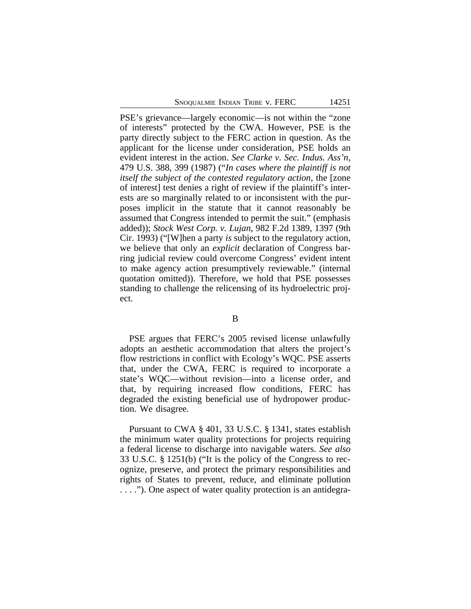PSE's grievance—largely economic—is not within the "zone of interests" protected by the CWA. However, PSE is the party directly subject to the FERC action in question. As the applicant for the license under consideration, PSE holds an evident interest in the action. *See Clarke v. Sec. Indus. Ass'n*, 479 U.S. 388, 399 (1987) ("*In cases where the plaintiff is not itself the subject of the contested regulatory action*, the [zone of interest] test denies a right of review if the plaintiff's interests are so marginally related to or inconsistent with the purposes implicit in the statute that it cannot reasonably be assumed that Congress intended to permit the suit." (emphasis added)); *Stock West Corp. v. Lujan*, 982 F.2d 1389, 1397 (9th Cir. 1993) ("[W]hen a party *is* subject to the regulatory action, we believe that only an *explicit* declaration of Congress barring judicial review could overcome Congress' evident intent to make agency action presumptively reviewable." (internal quotation omitted)). Therefore, we hold that PSE possesses standing to challenge the relicensing of its hydroelectric project.

## B

PSE argues that FERC's 2005 revised license unlawfully adopts an aesthetic accommodation that alters the project's flow restrictions in conflict with Ecology's WQC. PSE asserts that, under the CWA, FERC is required to incorporate a state's WQC—without revision—into a license order, and that, by requiring increased flow conditions, FERC has degraded the existing beneficial use of hydropower production. We disagree.

Pursuant to CWA § 401, 33 U.S.C. § 1341, states establish the minimum water quality protections for projects requiring a federal license to discharge into navigable waters. *See also* 33 U.S.C. § 1251(b) ("It is the policy of the Congress to recognize, preserve, and protect the primary responsibilities and rights of States to prevent, reduce, and eliminate pollution . . . ."). One aspect of water quality protection is an antidegra-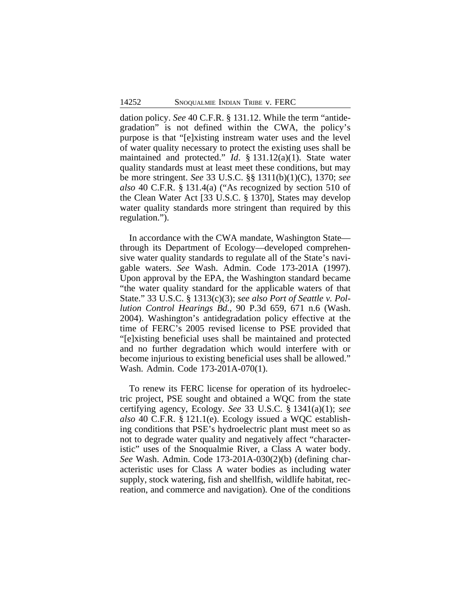dation policy. *See* 40 C.F.R. § 131.12. While the term "antidegradation" is not defined within the CWA, the policy's purpose is that "[e]xisting instream water uses and the level of water quality necessary to protect the existing uses shall be maintained and protected." *Id*. § 131.12(a)(1). State water quality standards must at least meet these conditions, but may be more stringent. *See* 33 U.S.C. §§ 1311(b)(1)(C), 1370; *see also* 40 C.F.R. § 131.4(a) ("As recognized by section 510 of the Clean Water Act [33 U.S.C. § 1370], States may develop water quality standards more stringent than required by this regulation.").

In accordance with the CWA mandate, Washington State through its Department of Ecology—developed comprehensive water quality standards to regulate all of the State's navigable waters. *See* Wash. Admin. Code 173-201A (1997). Upon approval by the EPA, the Washington standard became "the water quality standard for the applicable waters of that State." 33 U.S.C. § 1313(c)(3); *see also Port of Seattle v. Pollution Control Hearings Bd.*, 90 P.3d 659, 671 n.6 (Wash. 2004). Washington's antidegradation policy effective at the time of FERC's 2005 revised license to PSE provided that "[e]xisting beneficial uses shall be maintained and protected and no further degradation which would interfere with or become injurious to existing beneficial uses shall be allowed." Wash. Admin. Code 173-201A-070(1).

To renew its FERC license for operation of its hydroelectric project, PSE sought and obtained a WQC from the state certifying agency, Ecology. *See* 33 U.S.C. § 1341(a)(1); *see also* 40 C.F.R. § 121.1(e). Ecology issued a WQC establishing conditions that PSE's hydroelectric plant must meet so as not to degrade water quality and negatively affect "characteristic" uses of the Snoqualmie River, a Class A water body. *See* Wash. Admin. Code 173-201A-030(2)(b) (defining characteristic uses for Class A water bodies as including water supply, stock watering, fish and shellfish, wildlife habitat, recreation, and commerce and navigation)*.* One of the conditions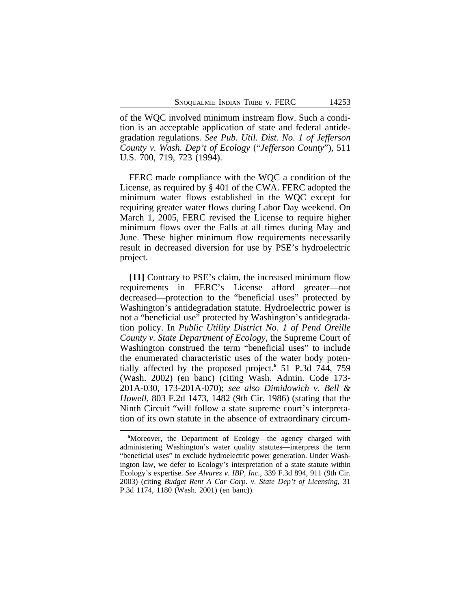of the WQC involved minimum instream flow. Such a condition is an acceptable application of state and federal antidegradation regulations. *See Pub. Util. Dist. No. 1 of Jefferson County v. Wash. Dep't of Ecology* ("*Jefferson County*"), 511 U.S. 700, 719, 723 (1994).

FERC made compliance with the WQC a condition of the License, as required by § 401 of the CWA. FERC adopted the minimum water flows established in the WQC except for requiring greater water flows during Labor Day weekend. On March 1, 2005, FERC revised the License to require higher minimum flows over the Falls at all times during May and June. These higher minimum flow requirements necessarily result in decreased diversion for use by PSE's hydroelectric project.

**[11]** Contrary to PSE's claim, the increased minimum flow requirements in FERC's License afford greater—not decreased—protection to the "beneficial uses" protected by Washington's antidegradation statute. Hydroelectric power is not a "beneficial use" protected by Washington's antidegradation policy. In *Public Utility District No. 1 of Pend Oreille County v. State Department of Ecology*, the Supreme Court of Washington construed the term "beneficial uses" to include the enumerated characteristic uses of the water body potentially affected by the proposed project.**<sup>5</sup>** 51 P.3d 744, 759 (Wash. 2002) (en banc) (citing Wash. Admin. Code 173- 201A-030, 173-201A-070); *see also Dimidowich v. Bell & Howell*, 803 F.2d 1473, 1482 (9th Cir. 1986) (stating that the Ninth Circuit "will follow a state supreme court's interpretation of its own statute in the absence of extraordinary circum-

**<sup>5</sup>**Moreover, the Department of Ecology—the agency charged with administering Washington's water quality statutes—interprets the term "beneficial uses" to exclude hydroelectric power generation. Under Washington law, we defer to Ecology's interpretation of a state statute within Ecology's expertise. *See Alvarez v. IBP, Inc.*, 339 F.3d 894, 911 (9th Cir. 2003) (citing *Budget Rent A Car Corp. v. State Dep't of Licensing*, 31 P.3d 1174, 1180 (Wash. 2001) (en banc)).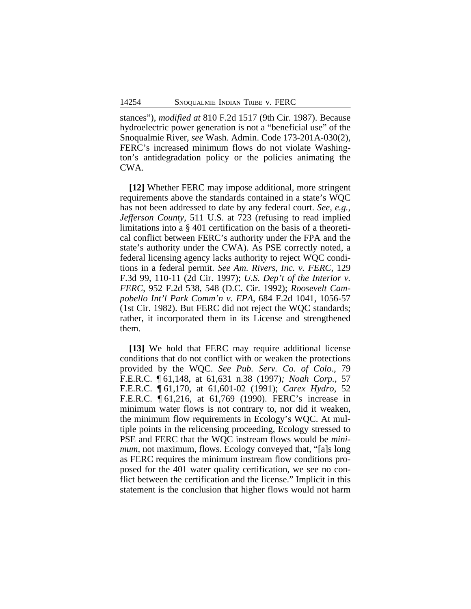stances"), *modified at* 810 F.2d 1517 (9th Cir. 1987). Because hydroelectric power generation is not a "beneficial use" of the Snoqualmie River, *see* Wash. Admin. Code 173-201A-030(2), FERC's increased minimum flows do not violate Washington's antidegradation policy or the policies animating the CWA.

**[12]** Whether FERC may impose additional, more stringent requirements above the standards contained in a state's WQC has not been addressed to date by any federal court. *See, e.g.*, *Jefferson County*, 511 U.S. at 723 (refusing to read implied limitations into a § 401 certification on the basis of a theoretical conflict between FERC's authority under the FPA and the state's authority under the CWA). As PSE correctly noted, a federal licensing agency lacks authority to reject WQC conditions in a federal permit. *See Am. Rivers, Inc. v. FERC*, 129 F.3d 99, 110-11 (2d Cir. 1997); *U.S. Dep't of the Interior v. FERC*, 952 F.2d 538, 548 (D.C. Cir. 1992); *Roosevelt Campobello Int'l Park Comm'n v. EPA*, 684 F.2d 1041, 1056-57 (1st Cir. 1982). But FERC did not reject the WQC standards; rather, it incorporated them in its License and strengthened them.

**[13]** We hold that FERC may require additional license conditions that do not conflict with or weaken the protections provided by the WQC. *See Pub. Serv. Co. of Colo.*, 79 F.E.R.C. ¶ 61,148, at 61,631 n.38 (1997)*; Noah Corp.*, 57 F.E.R.C. ¶ 61,170, at 61,601-02 (1991); *Carex Hydro*, 52 F.E.R.C. ¶ 61,216, at 61,769 (1990). FERC's increase in minimum water flows is not contrary to, nor did it weaken, the minimum flow requirements in Ecology's WQC. At multiple points in the relicensing proceeding, Ecology stressed to PSE and FERC that the WQC instream flows would be *minimum*, not maximum, flows. Ecology conveyed that, "[a]s long as FERC requires the minimum instream flow conditions proposed for the 401 water quality certification, we see no conflict between the certification and the license." Implicit in this statement is the conclusion that higher flows would not harm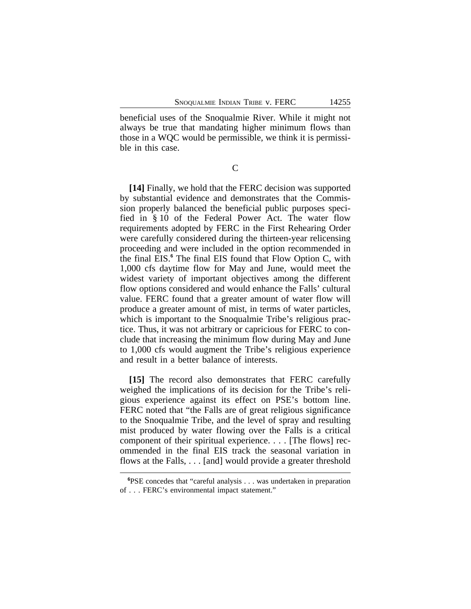beneficial uses of the Snoqualmie River. While it might not always be true that mandating higher minimum flows than those in a WQC would be permissible, we think it is permissible in this case.

 $\overline{C}$ 

**[14]** Finally, we hold that the FERC decision was supported by substantial evidence and demonstrates that the Commission properly balanced the beneficial public purposes specified in § 10 of the Federal Power Act. The water flow requirements adopted by FERC in the First Rehearing Order were carefully considered during the thirteen-year relicensing proceeding and were included in the option recommended in the final EIS.**<sup>6</sup>** The final EIS found that Flow Option C, with 1,000 cfs daytime flow for May and June, would meet the widest variety of important objectives among the different flow options considered and would enhance the Falls' cultural value. FERC found that a greater amount of water flow will produce a greater amount of mist, in terms of water particles, which is important to the Snoqualmie Tribe's religious practice. Thus, it was not arbitrary or capricious for FERC to conclude that increasing the minimum flow during May and June to 1,000 cfs would augment the Tribe's religious experience and result in a better balance of interests.

**[15]** The record also demonstrates that FERC carefully weighed the implications of its decision for the Tribe's religious experience against its effect on PSE's bottom line. FERC noted that "the Falls are of great religious significance" to the Snoqualmie Tribe, and the level of spray and resulting mist produced by water flowing over the Falls is a critical component of their spiritual experience. . . . [The flows] recommended in the final EIS track the seasonal variation in flows at the Falls, . . . [and] would provide a greater threshold

**<sup>6</sup>**PSE concedes that "careful analysis . . . was undertaken in preparation of . . . FERC's environmental impact statement."